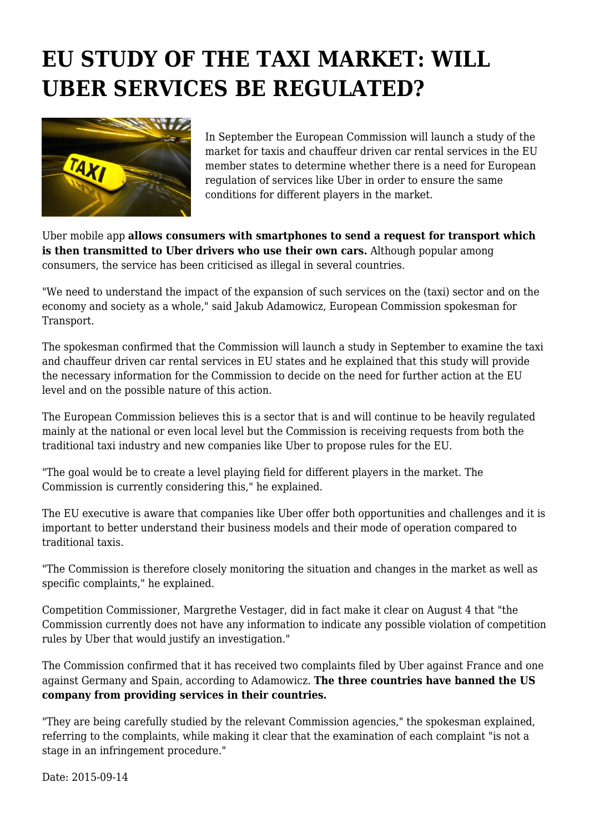## **EU STUDY OF THE TAXI MARKET: WILL UBER SERVICES BE REGULATED?**



In September the European Commission will launch a study of the market for taxis and chauffeur driven car rental services in the EU member states to determine whether there is a need for European regulation of services like Uber in order to ensure the same conditions for different players in the market.

Uber mobile app **allows consumers with smartphones to send a request for transport which is then transmitted to Uber drivers who use their own cars.** Although popular among consumers, the service has been criticised as illegal in several countries.

"We need to understand the impact of the expansion of such services on the (taxi) sector and on the economy and society as a whole," said Jakub Adamowicz, European Commission spokesman for Transport.

The spokesman confirmed that the Commission will launch a study in September to examine the taxi and chauffeur driven car rental services in EU states and he explained that this study will provide the necessary information for the Commission to decide on the need for further action at the EU level and on the possible nature of this action.

The European Commission believes this is a sector that is and will continue to be heavily regulated mainly at the national or even local level but the Commission is receiving requests from both the traditional taxi industry and new companies like Uber to propose rules for the EU.

"The goal would be to create a level playing field for different players in the market. The Commission is currently considering this," he explained.

The EU executive is aware that companies like Uber offer both opportunities and challenges and it is important to better understand their business models and their mode of operation compared to traditional taxis.

"The Commission is therefore closely monitoring the situation and changes in the market as well as specific complaints," he explained.

Competition Commissioner, Margrethe Vestager, did in fact make it clear on August 4 that "the Commission currently does not have any information to indicate any possible violation of competition rules by Uber that would justify an investigation."

The Commission confirmed that it has received two complaints filed by Uber against France and one against Germany and Spain, according to Adamowicz. **The three countries have banned the US company from providing services in their countries.**

"They are being carefully studied by the relevant Commission agencies," the spokesman explained, referring to the complaints, while making it clear that the examination of each complaint "is not a stage in an infringement procedure."